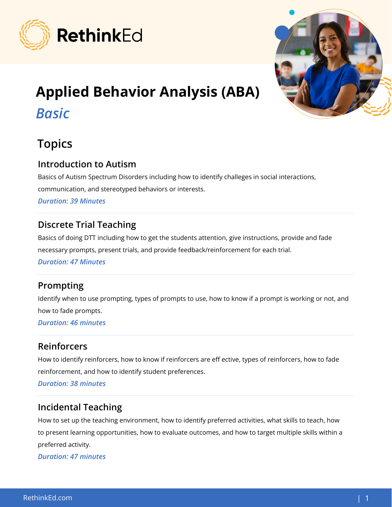

# Applied Behavior Analysis (ABA)

# *Basic*



#### Introduction to Autism

Basics of Autism Spectrum Disorders including how to identify challeges in social interactions, communication, and stereotyped behaviors or interests.

*Duration: 39 Minutes*

# Discrete Trial Teaching

Basics of doing DTT including how to get the students attention, give instructions, provide and fade necessary prompts, present trials, and provide feedback/reinforcement for each trial. *Duration: 47 Minutes*

# Prompting

Identify when to use prompting, types of prompts to use, how to know if a prompt is working or not, and how to fade prompts.

*Duration: 46 minutes*

# Reinforcers

How to identify reinforcers, how to know if reinforcers are eff ective, types of reinforcers, how to fade reinforcement, and how to identify student preferences.

*Duration: 38 minutes*

# Incidental Teaching

How to set up the teaching environment, how to identify preferred activities, what skills to teach, how to present learning opportunities, how to evaluate outcomes, and how to target multiple skills within a preferred activity.

*Duration: 47 minutes*

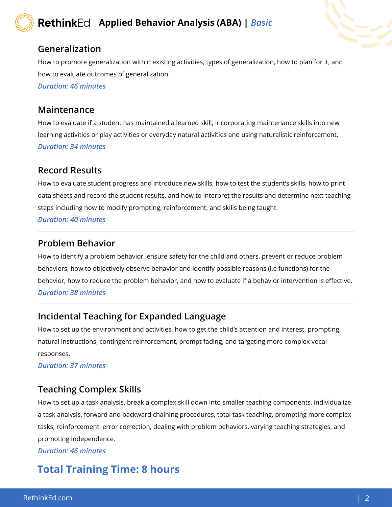# Applied Behavior Analysis (ABA) | *Basic*

#### Generalization

How to promote generalization within existing activities, types of generalization, how to plan for it, and how to evaluate outcomes of generalization.

*Duration: 46 minutes*

#### Maintenance

How to evaluate if a student has maintained a learned skill, incorporating maintenance skills into new learning activities or play activities or everyday natural activities and using naturalistic reinforcement. *Duration: 34 minutes*

#### Record Results

How to evaluate student progress and introduce new skills, how to test the student's skills, how to print data sheets and record the student results, and how to interpret the results and determine next teaching steps including how to modify prompting, reinforcement, and skills being taught.

*Duration: 40 minutes*

#### Problem Behavior

How to identify a problem behavior, ensure safety for the child and others, prevent or reduce problem behaviors, how to objectively observe behavior and identify possible reasons (i.e functions) for the behavior, how to reduce the problem behavior, and how to evaluate if a behavior intervention is effective. *Duration: 38 minutes*

#### Incidental Teaching for Expanded Language

How to set up the environment and activities, how to get the child's attention and interest, prompting, natural instructions, contingent reinforcement, prompt fading, and targeting more complex vocal responses.

*Duration: 37 minutes*

#### Teaching Complex Skills

How to set up a task analysis, break a complex skill down into smaller teaching components, individualize a task analysis, forward and backward chaining procedures, total task teaching, prompting more complex tasks, reinforcement, error correction, dealing with problem behaviors, varying teaching strategies, and promoting independence.

*Duration: 46 minutes*

# Total Training Time: 8 hours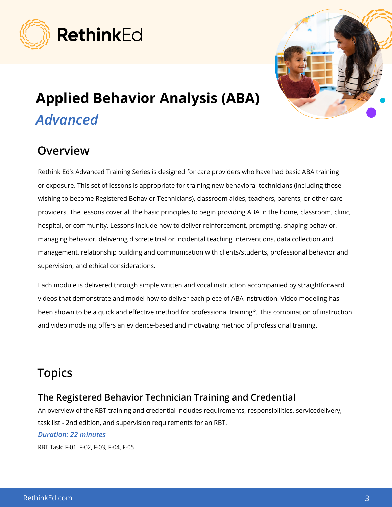



# Applied Behavior Analysis (ABA) *Advanced*

# **Overview**

Rethink Ed's Advanced Training Series is designed for care providers who have had basic ABA training or exposure. This set of lessons is appropriate for training new behavioral technicians (including those wishing to become Registered Behavior Technicians), classroom aides, teachers, parents, or other care providers. The lessons cover all the basic principles to begin providing ABA in the home, classroom, clinic, hospital, or community. Lessons include how to deliver reinforcement, prompting, shaping behavior, managing behavior, delivering discrete trial or incidental teaching interventions, data collection and management, relationship building and communication with clients/students, professional behavior and supervision, and ethical considerations.

Each module is delivered through simple written and vocal instruction accompanied by straightforward videos that demonstrate and model how to deliver each piece of ABA instruction. Video modeling has been shown to be a quick and effective method for professional training\*. This combination of instruction and video modeling offers an evidence-based and motivating method of professional training.

# **Topics**

#### The Registered Behavior Technician Training and Credential

An overview of the RBT training and credential includes requirements, responsibilities, servicedelivery, task list - 2nd edition, and supervision requirements for an RBT.

#### *Duration: 22 minutes*

RBT Task: F-01, F-02, F-03, F-04, F-05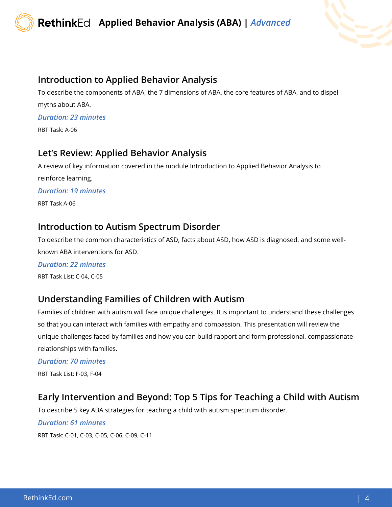

#### Introduction to Applied Behavior Analysis

To describe the components of ABA, the 7 dimensions of ABA, the core features of ABA, and to dispel myths about ABA.

*Duration: 23 minutes*

RBT Task: A-06

#### Let's Review: Applied Behavior Analysis

A review of key information covered in the module Introduction to Applied Behavior Analysis to reinforce learning. *Duration: 19 minutes*

RBT Task A-06

#### Introduction to Autism Spectrum Disorder

To describe the common characteristics of ASD, facts about ASD, how ASD is diagnosed, and some wellknown ABA interventions for ASD.

*Duration: 22 minutes* RBT Task List: C-04, C-05

#### Understanding Families of Children with Autism

Families of children with autism will face unique challenges. It is important to understand these challenges so that you can interact with families with empathy and compassion. This presentation will review the unique challenges faced by families and how you can build rapport and form professional, compassionate relationships with families.

*Duration: 70 minutes*

RBT Task List: F-03, F-04

#### Early Intervention and Beyond: Top 5 Tips for Teaching a Child with Autism

To describe 5 key ABA strategies for teaching a child with autism spectrum disorder.

#### *Duration: 61 minutes*

RBT Task: C-01, C-03, C-05, C-06, C-09, C-11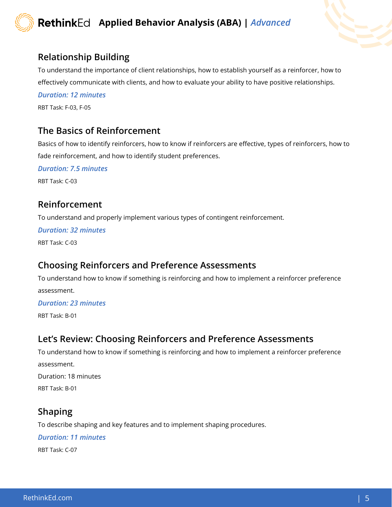

#### Relationship Building

To understand the importance of client relationships, how to establish yourself as a reinforcer, how to effectively communicate with clients, and how to evaluate your ability to have positive relationships.

*Duration: 12 minutes* RBT Task: F-03, F-05

#### The Basics of Reinforcement

Basics of how to identify reinforcers, how to know if reinforcers are effective, types of reinforcers, how to fade reinforcement, and how to identify student preferences.

*Duration: 7.5 minutes*

RBT Task: C-03

#### Reinforcement

To understand and properly implement various types of contingent reinforcement.

*Duration: 32 minutes*

RBT Task: C-03

#### Choosing Reinforcers and Preference Assessments

To understand how to know if something is reinforcing and how to implement a reinforcer preference assessment.

#### *Duration: 23 minutes*

RBT Task: B-01

#### Let's Review: Choosing Reinforcers and Preference Assessments

To understand how to know if something is reinforcing and how to implement a reinforcer preference assessment.

Duration: 18 minutes

RBT Task: B-01

#### Shaping

To describe shaping and key features and to implement shaping procedures.

*Duration: 11 minutes*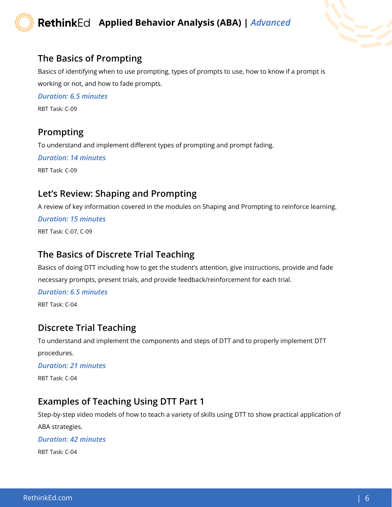



#### The Basics of Prompting

Basics of identifying when to use prompting, types of prompts to use, how to know if a prompt is working or not, and how to fade prompts.

*Duration: 6.5 minutes* RBT Task: C-09

# Prompting

To understand and implement different types of prompting and prompt fading.

*Duration: 14 minutes* RBT Task: C-09

#### Let's Review: Shaping and Prompting

A review of key information covered in the modules on Shaping and Prompting to reinforce learning.

#### *Duration: 15 minutes*

RBT Task: C-07, C-09

#### The Basics of Discrete Trial Teaching

Basics of doing DTT including how to get the student's attention, give instructions, provide and fade necessary prompts, present trials, and provide feedback/reinforcement for each trial.

#### *Duration: 6.5 minutes*

RBT Task: C-04

#### Discrete Trial Teaching

To understand and implement the components and steps of DTT and to properly implement DTT procedures.

#### *Duration: 21 minutes*

RBT Task: C-04

#### Examples of Teaching Using DTT Part 1

Step-by-step video models of how to teach a variety of skills using DTT to show practical application of

ABA strategies.

#### *Duration: 42 minutes*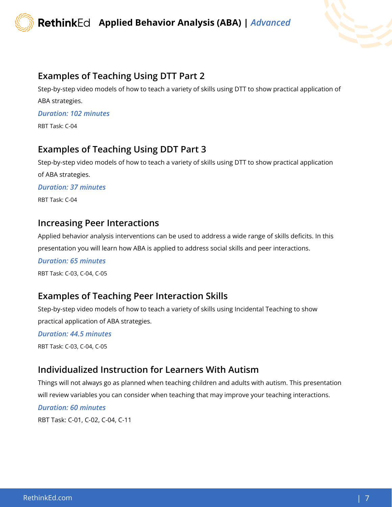

### Examples of Teaching Using DTT Part 2

Step-by-step video models of how to teach a variety of skills using DTT to show practical application of ABA strategies.

*Duration: 102 minutes*

RBT Task: C-04

#### Examples of Teaching Using DDT Part 3

Step-by-step video models of how to teach a variety of skills using DTT to show practical application of ABA strategies.

*Duration: 37 minutes*

RBT Task: C-04

#### Increasing Peer Interactions

Applied behavior analysis interventions can be used to address a wide range of skills deficits. In this presentation you will learn how ABA is applied to address social skills and peer interactions.

*Duration: 65 minutes*

RBT Task: C-03, C-04, C-05

#### Examples of Teaching Peer Interaction Skills

Step-by-step video models of how to teach a variety of skills using Incidental Teaching to show practical application of ABA strategies.

*Duration: 44.5 minutes* RBT Task: C-03, C-04, C-05

#### Individualized Instruction for Learners With Autism

Things will not always go as planned when teaching children and adults with autism. This presentation will review variables you can consider when teaching that may improve your teaching interactions.

#### *Duration: 60 minutes*

RBT Task: C-01, C-02, C-04, C-11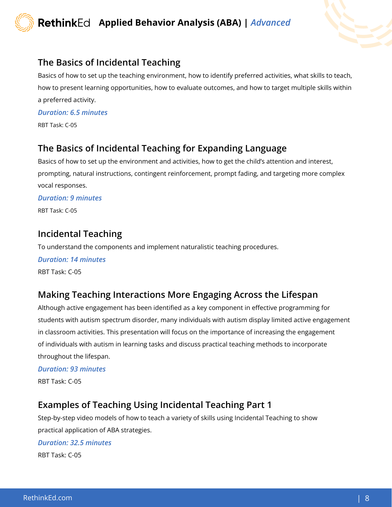



#### The Basics of Incidental Teaching

Basics of how to set up the teaching environment, how to identify preferred activities, what skills to teach, how to present learning opportunities, how to evaluate outcomes, and how to target multiple skills within a preferred activity.

*Duration: 6.5 minutes*

RBT Task: C-05

#### The Basics of Incidental Teaching for Expanding Language

Basics of how to set up the environment and activities, how to get the child's attention and interest, prompting, natural instructions, contingent reinforcement, prompt fading, and targeting more complex vocal responses.

#### *Duration: 9 minutes*

RBT Task: C-05

#### Incidental Teaching

To understand the components and implement naturalistic teaching procedures.

*Duration: 14 minutes* RBT Task: C-05

#### Making Teaching Interactions More Engaging Across the Lifespan

Although active engagement has been identified as a key component in effective programming for students with autism spectrum disorder, many individuals with autism display limited active engagement in classroom activities. This presentation will focus on the importance of increasing the engagement of individuals with autism in learning tasks and discuss practical teaching methods to incorporate throughout the lifespan.

#### *Duration: 93 minutes*

RBT Task: C-05

#### Examples of Teaching Using Incidental Teaching Part 1

Step-by-step video models of how to teach a variety of skills using Incidental Teaching to show practical application of ABA strategies.

#### *Duration: 32.5 minutes*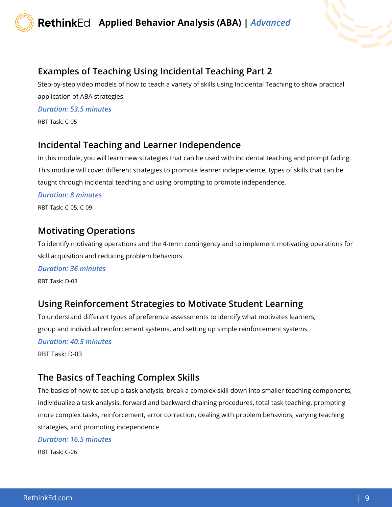

# Examples of Teaching Using Incidental Teaching Part 2

Step-by-step video models of how to teach a variety of skills using Incidental Teaching to show practical application of ABA strategies.

*Duration: 53.5 minutes*

RBT Task: C-05

# Incidental Teaching and Learner Independence

In this module, you will learn new strategies that can be used with incidental teaching and prompt fading. This module will cover different strategies to promote learner independence, types of skills that can be taught through incidental teaching and using prompting to promote independence.

#### *Duration: 8 minutes*

RBT Task: C-05, C-09

#### Motivating Operations

To identify motivating operations and the 4-term contingency and to implement motivating operations for skill acquisition and reducing problem behaviors.

#### *Duration: 36 minutes*

RBT Task: D-03

# Using Reinforcement Strategies to Motivate Student Learning

To understand different types of preference assessments to identify what motivates learners, group and individual reinforcement systems, and setting up simple reinforcement systems.

#### *Duration: 40.5 minutes*

RBT Task: D-03

#### The Basics of Teaching Complex Skills

The basics of how to set up a task analysis, break a complex skill down into smaller teaching components, individualize a task analysis, forward and backward chaining procedures, total task teaching, prompting more complex tasks, reinforcement, error correction, dealing with problem behaviors, varying teaching strategies, and promoting independence.

*Duration: 16.5 minutes*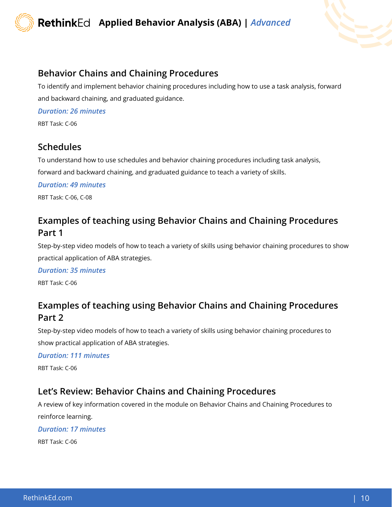

#### Behavior Chains and Chaining Procedures

To identify and implement behavior chaining procedures including how to use a task analysis, forward and backward chaining, and graduated guidance.

*Duration: 26 minutes*

RBT Task: C-06

# Schedules

To understand how to use schedules and behavior chaining procedures including task analysis,

forward and backward chaining, and graduated guidance to teach a variety of skills.

*Duration: 49 minutes*

RBT Task: C-06, C-08

# Examples of teaching using Behavior Chains and Chaining Procedures Part 1

Step-by-step video models of how to teach a variety of skills using behavior chaining procedures to show practical application of ABA strategies.

*Duration: 35 minutes*

RBT Task: C-06

# Examples of teaching using Behavior Chains and Chaining Procedures Part 2

Step-by-step video models of how to teach a variety of skills using behavior chaining procedures to show practical application of ABA strategies.

*Duration: 111 minutes*

RBT Task: C-06

# Let's Review: Behavior Chains and Chaining Procedures

A review of key information covered in the module on Behavior Chains and Chaining Procedures to reinforce learning.

#### *Duration: 17 minutes*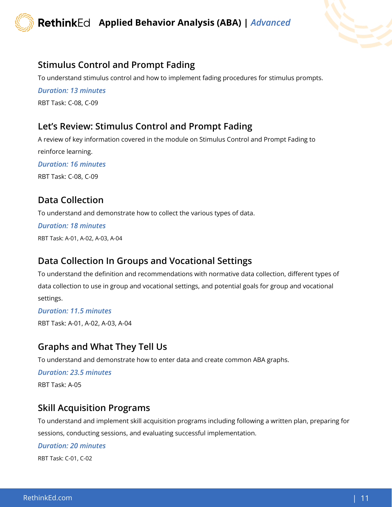



#### Stimulus Control and Prompt Fading

To understand stimulus control and how to implement fading procedures for stimulus prompts.

*Duration: 13 minutes* RBT Task: C-08, C-09

#### Let's Review: Stimulus Control and Prompt Fading

A review of key information covered in the module on Stimulus Control and Prompt Fading to reinforce learning. *Duration: 16 minutes* RBT Task: C-08, C-09

#### Data Collection

To understand and demonstrate how to collect the various types of data.

*Duration: 18 minutes*

RBT Task: A-01, A-02, A-03, A-04

#### Data Collection In Groups and Vocational Settings

To understand the definition and recommendations with normative data collection, different types of data collection to use in group and vocational settings, and potential goals for group and vocational settings.

*Duration: 11.5 minutes* RBT Task: A-01, A-02, A-03, A-04

# Graphs and What They Tell Us

To understand and demonstrate how to enter data and create common ABA graphs.

*Duration: 23.5 minutes* RBT Task: A-05

#### Skill Acquisition Programs

To understand and implement skill acquisition programs including following a written plan, preparing for sessions, conducting sessions, and evaluating successful implementation.

*Duration: 20 minutes*

RBT Task: C-01, C-02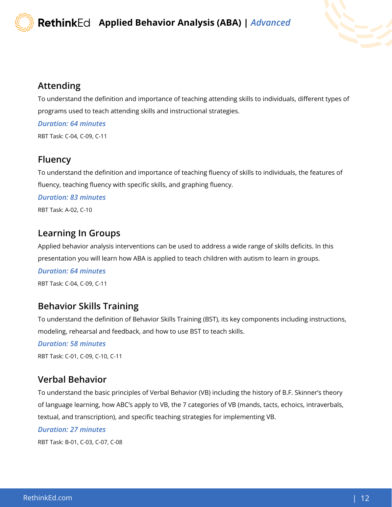

#### Attending

To understand the definition and importance of teaching attending skills to individuals, different types of programs used to teach attending skills and instructional strategies.

*Duration: 64 minutes*

RBT Task: C-04, C-09, C-11

# Fluency

To understand the definition and importance of teaching fluency of skills to individuals, the features of fluency, teaching fluency with specific skills, and graphing fluency.

*Duration: 83 minutes*

RBT Task: A-02, C-10

# Learning In Groups

Applied behavior analysis interventions can be used to address a wide range of skills deficits. In this presentation you will learn how ABA is applied to teach children with autism to learn in groups.

*Duration: 64 minutes*

RBT Task: C-04, C-09, C-11

# Behavior Skills Training

To understand the definition of Behavior Skills Training (BST), its key components including instructions, modeling, rehearsal and feedback, and how to use BST to teach skills.

*Duration: 58 minutes*

RBT Task: C-01, C-09, C-10, C-11

# Verbal Behavior

To understand the basic principles of Verbal Behavior (VB) including the history of B.F. Skinner's theory of language learning, how ABC's apply to VB, the 7 categories of VB (mands, tacts, echoics, intraverbals, textual, and transcription), and specific teaching strategies for implementing VB.

#### *Duration: 27 minutes*

RBT Task: B-01, C-03, C-07, C-08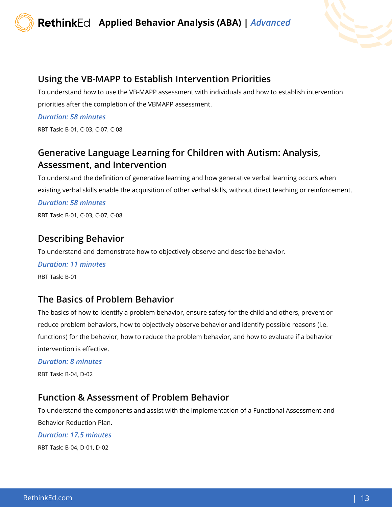#### Using the VB-MAPP to Establish Intervention Priorities

To understand how to use the VB-MAPP assessment with individuals and how to establish intervention priorities after the completion of the VBMAPP assessment.

*Duration: 58 minutes*

RBT Task: B-01, C-03, C-07, C-08

# Generative Language Learning for Children with Autism: Analysis, Assessment, and Intervention

To understand the definition of generative learning and how generative verbal learning occurs when existing verbal skills enable the acquisition of other verbal skills, without direct teaching or reinforcement.

*Duration: 58 minutes*

RBT Task: B-01, C-03, C-07, C-08

# Describing Behavior

To understand and demonstrate how to objectively observe and describe behavior.

*Duration: 11 minutes* RBT Task: B-01

# The Basics of Problem Behavior

The basics of how to identify a problem behavior, ensure safety for the child and others, prevent or reduce problem behaviors, how to objectively observe behavior and identify possible reasons (i.e. functions) for the behavior, how to reduce the problem behavior, and how to evaluate if a behavior intervention is effective.

*Duration: 8 minutes*

RBT Task: B-04, D-02

# Function & Assessment of Problem Behavior

To understand the components and assist with the implementation of a Functional Assessment and Behavior Reduction Plan.

#### *Duration: 17.5 minutes*

RBT Task: B-04, D-01, D-02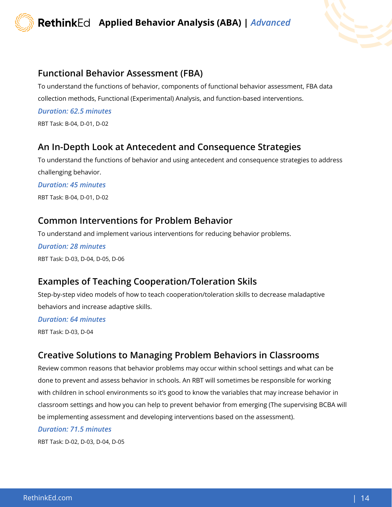

#### Functional Behavior Assessment (FBA)

To understand the functions of behavior, components of functional behavior assessment, FBA data collection methods, Functional (Experimental) Analysis, and function-based interventions.

*Duration: 62.5 minutes* RBT Task: B-04, D-01, D-02

# An In-Depth Look at Antecedent and Consequence Strategies

To understand the functions of behavior and using antecedent and consequence strategies to address challenging behavior.

*Duration: 45 minutes*

RBT Task: B-04, D-01, D-02

#### Common Interventions for Problem Behavior

To understand and implement various interventions for reducing behavior problems.

*Duration: 28 minutes* RBT Task: D-03, D-04, D-05, D-06

# Examples of Teaching Cooperation/Toleration Skils

Step-by-step video models of how to teach cooperation/toleration skills to decrease maladaptive behaviors and increase adaptive skills.

#### *Duration: 64 minutes*

RBT Task: D-03, D-04

# Creative Solutions to Managing Problem Behaviors in Classrooms

Review common reasons that behavior problems may occur within school settings and what can be done to prevent and assess behavior in schools. An RBT will sometimes be responsible for working with children in school environments so it's good to know the variables that may increase behavior in classroom settings and how you can help to prevent behavior from emerging (The supervising BCBA will be implementing assessment and developing interventions based on the assessment).

#### *Duration: 71.5 minutes*

RBT Task: D-02, D-03, D-04, D-05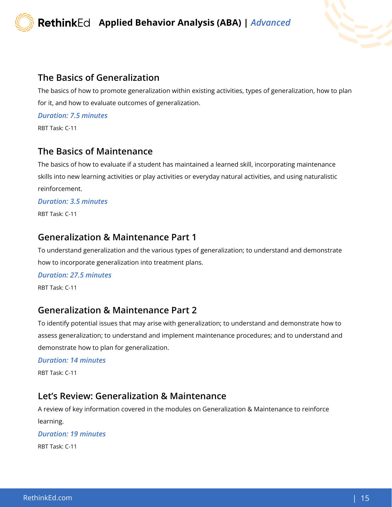

#### The Basics of Generalization

The basics of how to promote generalization within existing activities, types of generalization, how to plan for it, and how to evaluate outcomes of generalization.

*Duration: 7.5 minutes*

RBT Task: C-11

#### The Basics of Maintenance

The basics of how to evaluate if a student has maintained a learned skill, incorporating maintenance skills into new learning activities or play activities or everyday natural activities, and using naturalistic reinforcement.

*Duration: 3.5 minutes*

RBT Task: C-11

#### Generalization & Maintenance Part 1

To understand generalization and the various types of generalization; to understand and demonstrate how to incorporate generalization into treatment plans.

*Duration: 27.5 minutes*

RBT Task: C-11

#### Generalization & Maintenance Part 2

To identify potential issues that may arise with generalization; to understand and demonstrate how to assess generalization; to understand and implement maintenance procedures; and to understand and demonstrate how to plan for generalization.

#### *Duration: 14 minutes*

RBT Task: C-11

#### Let's Review: Generalization & Maintenance

A review of key information covered in the modules on Generalization & Maintenance to reinforce learning.

#### *Duration: 19 minutes*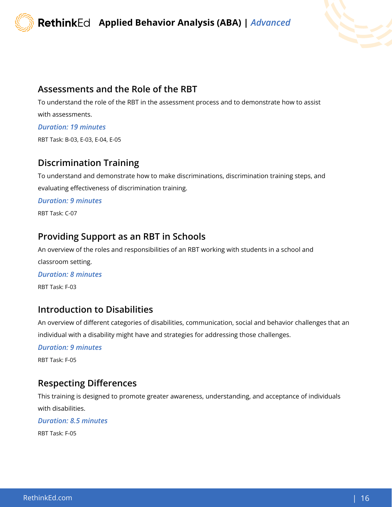



#### Assessments and the Role of the RBT

To understand the role of the RBT in the assessment process and to demonstrate how to assist with assessments.

#### *Duration: 19 minutes*

RBT Task: B-03, E-03, E-04, E-05

#### Discrimination Training

To understand and demonstrate how to make discriminations, discrimination training steps, and evaluating effectiveness of discrimination training.

*Duration: 9 minutes*

RBT Task: C-07

#### Providing Support as an RBT in Schools

An overview of the roles and responsibilities of an RBT working with students in a school and classroom setting.

*Duration: 8 minutes*

RBT Task: F-03

#### Introduction to Disabilities

An overview of different categories of disabilities, communication, social and behavior challenges that an individual with a disability might have and strategies for addressing those challenges.

#### *Duration: 9 minutes*

RBT Task: F-05

#### Respecting Differences

This training is designed to promote greater awareness, understanding, and acceptance of individuals with disabilities.

#### *Duration: 8.5 minutes*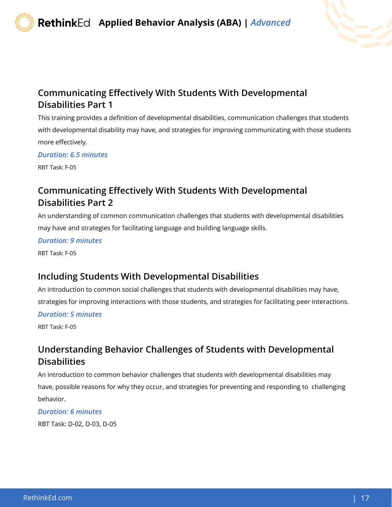

# Communicating Effectively With Students With Developmental Disabilities Part 1

This training provides a definition of developmental disabilities, communication challenges that students with developmental disability may have, and strategies for improving communicating with those students more effectively.

*Duration: 6.5 minutes*

RBT Task: F-05

# Communicating Effectively With Students With Developmental Disabilities Part 2

An understanding of common communication challenges that students with developmental disabilities may have and strategies for facilitating language and building language skills.

*Duration: 9 minutes*

RBT Task: F-05

# Including Students With Developmental Disabilities

An introduction to common social challenges that students with developmental disabilities may have, strategies for improving interactions with those students, and strategies for facilitating peer interactions.

*Duration: 5 minutes*

RBT Task: F-05

# Understanding Behavior Challenges of Students with Developmental **Disabilities**

An introduction to common behavior challenges that students with developmental disabilities may have, possible reasons for why they occur, and strategies for preventing and responding to challenging behavior.

*Duration: 6 minutes* RBT Task: D-02, D-03, D-05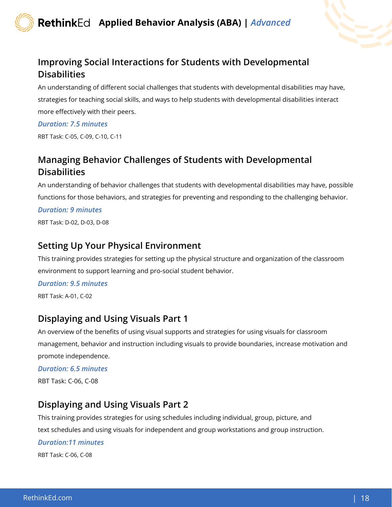

# Improving Social Interactions for Students with Developmental **Disabilities**

An understanding of different social challenges that students with developmental disabilities may have, strategies for teaching social skills, and ways to help students with developmental disabilities interact more effectively with their peers.

#### *Duration: 7.5 minutes*

RBT Task: C-05, C-09, C-10, C-11

# Managing Behavior Challenges of Students with Developmental **Disabilities**

An understanding of behavior challenges that students with developmental disabilities may have, possible functions for those behaviors, and strategies for preventing and responding to the challenging behavior.

#### *Duration: 9 minutes*

RBT Task: D-02, D-03, D-08

#### Setting Up Your Physical Environment

This training provides strategies for setting up the physical structure and organization of the classroom environment to support learning and pro-social student behavior.

#### *Duration: 9.5 minutes*

RBT Task: A-01, C-02

# Displaying and Using Visuals Part 1

An overview of the benefits of using visual supports and strategies for using visuals for classroom management, behavior and instruction including visuals to provide boundaries, increase motivation and promote independence.

#### *Duration: 6.5 minutes*

RBT Task: C-06, C-08

# Displaying and Using Visuals Part 2

This training provides strategies for using schedules including individual, group, picture, and text schedules and using visuals for independent and group workstations and group instruction.

#### *Duration:11 minutes*

RBT Task: C-06, C-08